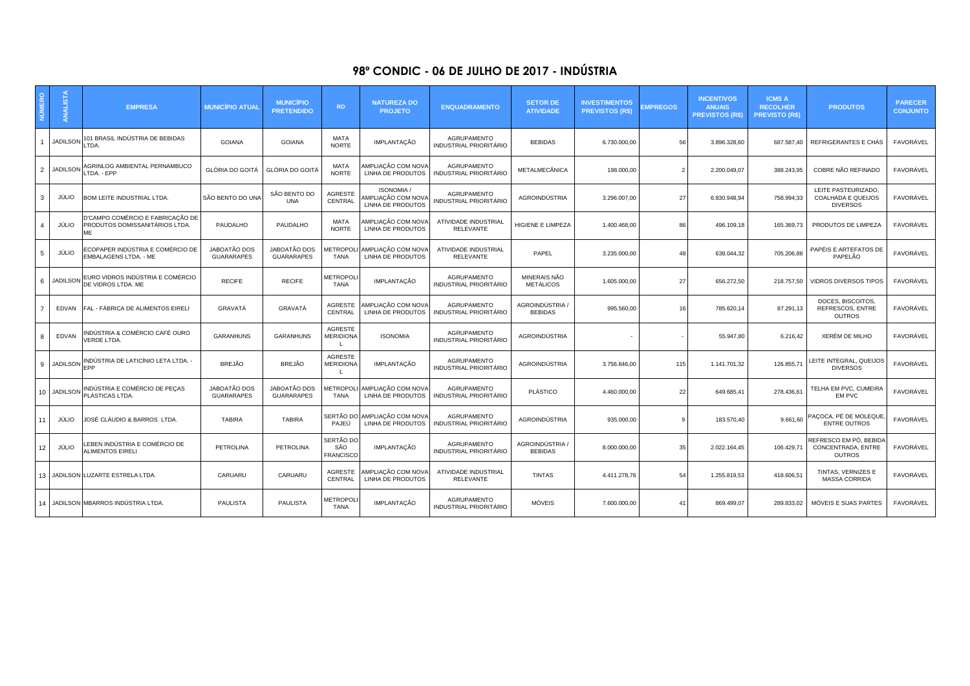## **98º CONDIC - 06 DE JULHO DE 2017 - INDÚSTRIA**

|    | <b>ANALISTA</b> | <b>EMPRESA</b>                                                           | <b>MUNICIPIO ATUAL</b>            | <b>MUNICÍPIO</b><br><b>PRETENDIDO</b> | <b>RD</b>                                | <b>NATUREZA DO</b><br><b>PROJETO</b>                         | <b>ENQUADRAMENTO</b>                                | <b>SETOR DE</b><br><b>ATIVIDADE</b> | <b>INVESTIMENTOS</b><br><b>PREVISTOS (R\$)</b> | <b>MPREGOS</b>           | <b>INCENTIVOS</b><br><b>ANUAIS</b><br><b>PREVISTOS (R\$)</b> | <b>ICMS A</b><br><b>RECOLHER</b><br><b>PREVISTO (R\$)</b> | <b>PRODUTOS</b>                                               | <b>PARECER</b><br><b>CONJUNTO</b> |
|----|-----------------|--------------------------------------------------------------------------|-----------------------------------|---------------------------------------|------------------------------------------|--------------------------------------------------------------|-----------------------------------------------------|-------------------------------------|------------------------------------------------|--------------------------|--------------------------------------------------------------|-----------------------------------------------------------|---------------------------------------------------------------|-----------------------------------|
|    | <b>JADILSON</b> | 101 BRASIL INDÚSTRIA DE BEBIDAS<br>TDA.                                  | <b>GOIANA</b>                     | <b>GOIANA</b>                         | MATA<br><b>NORTE</b>                     | <b>IMPLANTAÇÃO</b>                                           | <b>AGRUPAMENTO</b><br>INDUSTRIAL PRIORITÁRIO        | <b>BEBIDAS</b>                      | 6.730.000.00                                   | 56                       | 3.896.328.60                                                 | 687.587.40                                                | REFRIGERANTES E CHÁS                                          | FAVORÁVEL                         |
| 2  | <b>JADILSON</b> | AGRINLOG AMBIENTAL PERNAMBUCO<br>TDA. - EPP                              | GLÓRIA DO GOITÁ                   | GLÓRIA DO GOITÁ                       | MATA<br><b>NORTE</b>                     | AMPLIAÇÃO COM NOVA<br>LINHA DE PRODUTOS                      | <b>AGRUPAMENTO</b><br>INDUSTRIAL PRIORITÁRIO        | METALMECÂNICA                       | 198.000,00                                     | $\overline{\phantom{0}}$ | 2.200.049,07                                                 | 388.243,95                                                | COBRE NÃO REFINADO                                            | FAVORÁVEL                         |
| 3  | JÚLIO           | BOM LEITE INDUSTRIAL LTDA.                                               | SÃO BENTO DO UNA                  | SÃO BENTO DO<br><b>UNA</b>            | <b>AGRESTE</b><br>CENTRAL                | <b>ISONOMIA /</b><br>AMPLIAÇÃO COM NOVA<br>LINHA DE PRODUTOS | AGRUPAMENTO<br><b>INDUSTRIAL PRIORITÁRIO</b>        | AGROINDÚSTRIA                       | 3.296.007,00                                   | 27                       | 6.830.948,94                                                 | 758.994,33                                                | LEITE PASTEURIZADO,<br>COALHADA E QUEIJOS<br><b>DIVERSOS</b>  | FAVORÁVEL                         |
|    | JÚLIO           | D'CAMPO COMÉRCIO E FABRICAÇÃO DE<br>PRODUTOS DOMISSANITÁRIOS LTDA.<br>MF | PAUDALHO                          | PAUDALHO                              | MATA<br><b>NORTE</b>                     | AMPLIAÇÃO COM NOVA<br>LINHA DE PRODUTOS                      | ATIVIDADE INDUSTRIAL<br><b>RELEVANTE</b>            | HIGIENE E LIMPEZA                   | 1.400.468,00                                   | 86                       | 496.109,18                                                   | 165.369,73                                                | PRODUTOS DE LIMPEZA                                           | FAVORÁVEL                         |
| -5 | JÚLIO           | ECOPAPER INDÚSTRIA E COMÉRCIO DE<br>EMBALAGENS LTDA. - ME                | JABOATÃO DOS<br><b>GUARARAPES</b> | JABOATÃO DOS<br><b>GUARARAPES</b>     | <b>TANA</b>                              | IETROPOLI AMPLIAÇÃO COM NOVA<br>LINHA DE PRODUTOS            | ATIVIDADE INDUSTRIAL<br><b>RELEVANTE</b>            | PAPEL                               | 3.235.000,00                                   | 48                       | 638.044,32                                                   | 705.206,88                                                | PAPÉIS E ARTEFATOS DE<br>PAPELÃO                              | FAVORÁVEL                         |
| -6 |                 | JADILSON EURO VIDROS INDÚSTRIA E COMÉRCIO<br>DE VIDROS LTDA. ME          | <b>RECIFE</b>                     | <b>RECIFE</b>                         | METROPOL<br><b>TANA</b>                  | <b>IMPLANTAÇÃO</b>                                           | <b>AGRUPAMENTO</b><br><b>INDUSTRIAL PRIORITÁRIO</b> | MINERAIS NÃO<br><b>METÁLICOS</b>    | 1.605.000,00                                   | 27                       | 656.272,50                                                   | 218.757,50                                                | <b>VIDROS DIVERSOS TIPOS</b>                                  | FAVORÁVEL                         |
|    |                 | EDVAN FAL - FÁBRICA DE ALIMENTOS EIRELI                                  | GRAVATÁ                           | GRAVATÁ                               | AGRESTE<br>CENTRAL                       | AMPLIAÇÃO COM NOVA<br>LINHA DE PRODUTOS                      | AGRUPAMENTO<br>INDUSTRIAL PRIORITÁRIO               | AGROINDÚSTRIA /<br><b>BEBIDAS</b>   | 995.560,00                                     | 16                       | 785.620,14                                                   | 87.291,13                                                 | DOCES, BISCOITOS.<br>REFRESCOS, ENTRE<br><b>OUTROS</b>        | FAVORÁVEL                         |
|    | EDVAN           | INDÚSTRIA & COMÉRCIO CAFÉ OURO<br>VERDE LTDA.                            | <b>GARANHUNS</b>                  | <b>GARANHUNS</b>                      | <b>AGRESTE</b><br><b>MERIDIONA</b>       | <b>ISONOMIA</b>                                              | AGRUPAMENTO<br><b>INDUSTRIAL PRIORITÁRIO</b>        | AGROINDÚSTRIA                       |                                                |                          | 55.947,80                                                    | 6.216,42                                                  | <b>XERÉM DE MILHO</b>                                         | FAVORÁVEL                         |
| 9  |                 | JADILSON INDÚSTRIA DE LATICÍNIO LETA LTDA.<br><b>FPP</b>                 | <b>BREJÃO</b>                     | <b>BREJÃO</b>                         | <b>AGRESTE</b><br><b>MERIDIONA</b><br>L. | <b>IMPLANTAÇÃO</b>                                           | AGRUPAMENTO<br>INDUSTRIAL PRIORITÁRIO               | AGROINDÚSTRIA                       | 3.756.846,00                                   | 115                      | 1.141.701,32                                                 | 126.855,7                                                 | LEITE INTEGRAL, QUEIJOS<br><b>DIVERSOS</b>                    | <b>FAVORÁVEL</b>                  |
| 10 | <b>JADILSON</b> | INDÚSTRIA E COMÉRCIO DE PECAS<br>PLÁSTICAS LTDA.                         | JABOATÃO DOS<br><b>GUARARAPES</b> | JABOATÃO DOS<br><b>GUARARAPES</b>     | TANA                                     | IETROPOLI AMPLIAÇÃO COM NOVA<br>LINHA DE PRODUTOS            | <b>AGRUPAMENTO</b><br><b>INDUSTRIAL PRIORITÁRIO</b> | <b>PLÁSTICO</b>                     | 4.460.000,00                                   | 22                       | 649.685,41                                                   | 278.436,6                                                 | TELHA EM PVC, CUMEIRA<br>EM PVC                               | FAVORÁVEL                         |
| 11 | JÚLIO           | JOSÉ CLÁUDIO & BARROS LTDA.                                              | <b>TABIRA</b>                     | <b>TABIRA</b>                         | PAJEÚ                                    | SERTÃO DO AMPLIAÇÃO COM NOVA<br>LINHA DE PRODUTOS            | <b>AGRUPAMENTO</b><br>INDUSTRIAL PRIORITÁRIO        | AGROINDÚSTRIA                       | 935.000,00                                     | q                        | 183.570,40                                                   | 9.661,60                                                  | PAÇOCA, PÉ DE MOLEQUE<br><b>ENTRE OUTROS</b>                  | FAVORÁVEL                         |
| 12 | JÚLIO           | EBEN INDÚSTRIA E COMÉRCIO DE<br>ALIMENTOS EIRELI                         | PETROLINA                         | PETROLINA                             | SERTÃO DO<br>SÃO<br><b>FRANCISCO</b>     | <b>IMPLANTAÇÃO</b>                                           | AGRUPAMENTO<br><b>INDUSTRIAL PRIORITÁRIO</b>        | AGROINDÚSTRIA /<br><b>BEBIDAS</b>   | 8.000.000,00                                   | 35                       | 2.022.164,45                                                 | 106.429,71                                                | REFRESCO EM PÓ. BEBIDA<br>CONCENTRADA, ENTRE<br><b>OUTROS</b> | FAVORÁVEL                         |
| 13 |                 | JADILSON LUZARTE ESTRELA LTDA.                                           | CARUARU                           | CARUARU                               | AGRESTE<br>CENTRAL                       | AMPLIAÇÃO COM NOVA<br>LINHA DE PRODUTOS                      | ATIVIDADE INDUSTRIAL<br>RELEVANTE                   | <b>TINTAS</b>                       | 4.411.278,76                                   | 54                       | 1.255.819,53                                                 | 418.606,51                                                | TINTAS, VERNIZES E<br><b>MASSA CORRIDA</b>                    | FAVORÁVEL                         |
| 14 |                 | JADILSON MBARROS INDÚSTRIA LTDA.                                         | <b>PAULISTA</b>                   | <b>PAULISTA</b>                       | <b><i>METROPOLI</i></b><br><b>TANA</b>   | <b>IMPLANTAÇÃO</b>                                           | AGRUPAMENTO<br><b>INDUSTRIAL PRIORITÁRIO</b>        | <b>MÓVEIS</b>                       | 7.600.000,00                                   | $\mathbf{A}^{\prime}$    | 869.499,07                                                   | 289.833,02                                                | MÓVEIS E SUAS PARTES                                          | FAVORÁVEL                         |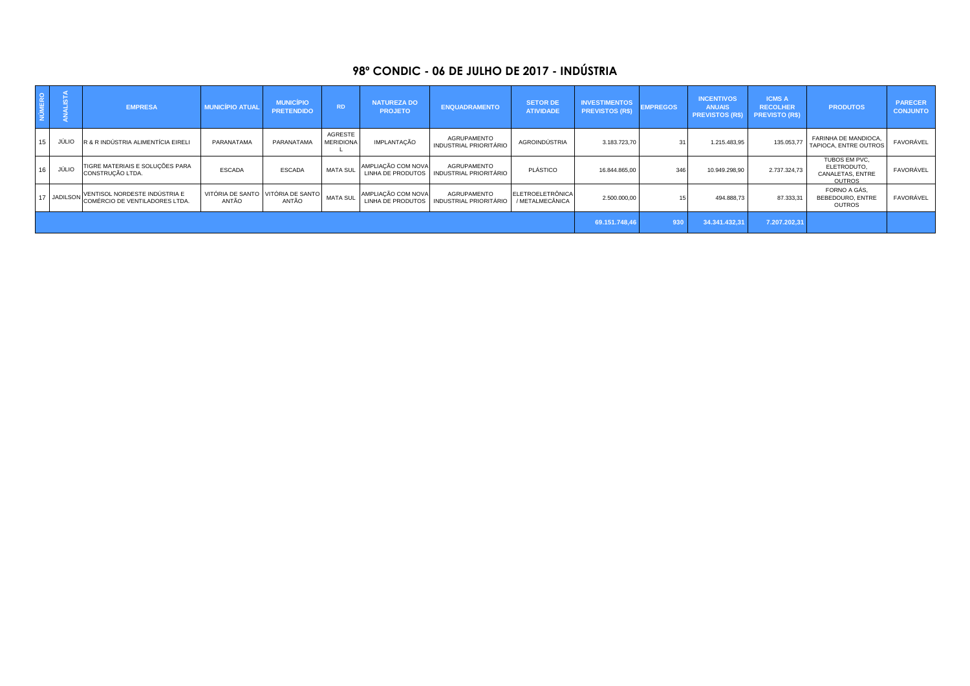## **98º CONDIC - 06 DE JULHO DE 2017 - INDÚSTRIA**

| NÚMERO |       | <b>EMPRESA</b>                                                           | <b>MUNICÍPIO ATUAL</b>                     | <b>MUNICÍPIO</b><br><b>PRETENDIDO</b> | <b>RD</b>                   | <b>NATUREZA DO</b><br><b>PROJETO</b>           | <b>ENQUADRAMENTO</b>                         | <b>SETOR DE</b><br><b>ATIVIDADE</b> | <b>INVESTIMENTOS</b><br><b>PREVISTOS (R\$)</b> | <b>EMPREGOS</b> | <b>INCENTIVOS</b><br><b>ANUAIS</b><br><b>PREVISTOS (R\$)</b> | <b>ICMS A</b><br><b>RECOLHER</b><br><b>PREVISTO (R\$)</b> | <b>PRODUTOS</b>                                                   | <b>PARECER</b><br><b>CONJUNTO</b> |
|--------|-------|--------------------------------------------------------------------------|--------------------------------------------|---------------------------------------|-----------------------------|------------------------------------------------|----------------------------------------------|-------------------------------------|------------------------------------------------|-----------------|--------------------------------------------------------------|-----------------------------------------------------------|-------------------------------------------------------------------|-----------------------------------|
|        | JÚLM  | R & R INDÚSTRIA ALIMENTÍCIA EIRELI                                       | PARANATAMA                                 | PARANATAMA                            | AGRESTE<br><b>MERIDIONA</b> | IMPLANTAÇÃO                                    | AGRUPAMENTO<br>INDUSTRIAL PRIORITÁRIO        | AGROINDÚSTRIA                       | 3.183.723,70                                   | 31              | 1.215.483,95                                                 | 135.053,77                                                | <b>FARINHA DE MANDIOCA</b><br>TAPIOCA, ENTRE OUTROS               | FAVORÁVEL                         |
|        | JÚLIC | TIGRE MATERIAIS E SOLUÇÕES PARA<br>CONSTRUÇÃO LTDA.                      | <b>ESCADA</b>                              | <b>ESCADA</b>                         | MATA SUL                    | AMPLIAÇÃO COM NOVA<br><b>LINHA DE PRODUTOS</b> | AGRUPAMENTO<br>INDUSTRIAL PRIORITÁRIO        | PLÁSTICO                            | 16.844.865,00                                  | 346             | 10.949.298,90                                                | 2.737.324,73                                              | TUBOS EM PVC,<br>ELETRODUTO,<br>CANALETAS, ENTRE<br><b>OUTROS</b> | FAVORÁVEL                         |
|        |       | JADILSON VENTISOL NORDESTE INDÚSTRIA E<br>COMÉRCIO DE VENTILADORES LTDA. | VITÓRIA DE SANTO VITÓRIA DE SANTO<br>ANTÃO | ANTÃO                                 | <b>MATA SUL</b>             | AMPLIAÇÃO COM NOVA<br>LINHA DE PRODUTOS        | AGRUPAMENTO<br><b>INDUSTRIAL PRIORITÁRIO</b> | ELETROELETRÔNICA<br>/ METALMECÂNICA | 2.500.000,00                                   |                 | 494.888,73                                                   | 87.333,31                                                 | FORNO A GÁS.<br>BEBEDOURO, ENTRE<br>OUTROS                        | FAVORÁVEL                         |
|        |       |                                                                          |                                            |                                       |                             |                                                |                                              |                                     | 69.151.748,4                                   | 930             | 34.341.432,31                                                | 7.207.202,31                                              |                                                                   |                                   |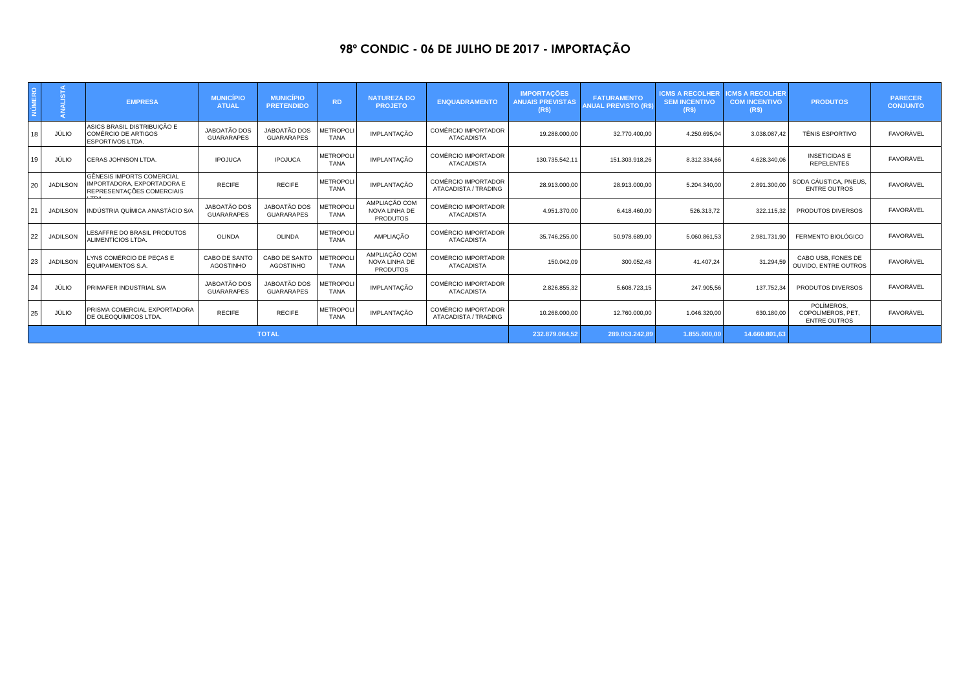## **98º CONDIC - 06 DE JULHO DE 2017 - IMPORTAÇÃO**

|              | z               | <b>EMPRESA</b>                                                                       | <b>MUNICÍPIO</b><br><b>ATUAL</b>  | <b>MUNICÍPIO</b><br><b>PRETENDIDO</b>    | <b>RD</b>                      | <b>NATUREZA DO</b><br><b>PROJETO</b>              | <b>ENQUADRAMENTO</b>                               | <b>IMPORTAÇÕES</b><br><b>ANUAIS PREVISTAS</b><br>(R <sup>2</sup> ) | <b>FATURAMENTO</b><br><b>ANUAL PREVISTO (R\$)</b> | <b>ICMS A RECOLHER</b><br><b>SEM INCENTIVO</b><br>(R\$) | <b>CMS A RECOLHER</b><br><b>COM INCENTIVO</b><br>(R\$) | <b>PRODUTOS</b>                                        | <b>PARECER</b><br><b>CONJUNTO</b> |
|--------------|-----------------|--------------------------------------------------------------------------------------|-----------------------------------|------------------------------------------|--------------------------------|---------------------------------------------------|----------------------------------------------------|--------------------------------------------------------------------|---------------------------------------------------|---------------------------------------------------------|--------------------------------------------------------|--------------------------------------------------------|-----------------------------------|
|              | JÚLIO           | ASICS BRASIL DISTRIBUIÇÃO E<br>COMÉRCIO DE ARTIGOS<br>ESPORTIVOS LTDA.               | JABOATÃO DOS<br><b>GUARARAPES</b> | <b>JABOATÃO DOS</b><br><b>GUARARAPES</b> | <b>METROPOL</b><br><b>TANA</b> | IMPLANTAÇÃO                                       | <b>COMÉRCIO IMPORTADOR</b><br><b>ATACADISTA</b>    | 19.288.000,00                                                      | 32.770.400,00                                     | 4.250.695,04                                            | 3.038.087,42                                           | <b>TÊNIS ESPORTIVO</b>                                 | FAVORÁVEL                         |
| 1 Q          | JÚLIO           | CERAS JOHNSON LTDA.                                                                  | <b>IPOJUCA</b>                    | <b>IPOJUCA</b>                           | <b>METROPOL</b><br><b>TANA</b> | IMPLANTACÃO                                       | <b>COMÉRCIO IMPORTADOR</b><br><b>ATACADISTA</b>    | 130.735.542.11                                                     | 151.303.918,26                                    | 8.312.334,66                                            | 4.628.340.06                                           | <b>INSETICIDAS E</b><br><b>REPELENTES</b>              | FAVORÁVEL                         |
| ንበ           | <b>JADILSON</b> | GÊNESIS IMPORTS COMERCIAL<br>IMPORTADORA, EXPORTADORA E<br>REPRESENTAÇÕES COMERCIAIS | <b>RECIFE</b>                     | <b>RECIFE</b>                            | <b>METROPOL</b><br><b>TANA</b> | IMPLANTAÇÃO                                       | <b>COMÉRCIO IMPORTADOR</b><br>ATACADISTA / TRADING | 28.913.000,00                                                      | 28.913.000,00                                     | 5.204.340,00                                            | 2.891.300.00                                           | SODA CÁUSTICA, PNEUS,<br><b>ENTRE OUTROS</b>           | FAVORÁVEL                         |
|              | <b>JADILSON</b> | INDÚSTRIA QUÍMICA ANASTÁCIO S/A                                                      | JABOATÃO DOS<br><b>GUARARAPES</b> | <b>JABOATÃO DOS</b><br><b>GUARARAPES</b> | <b>METROPOL</b><br><b>TANA</b> | AMPLIAÇÃO COM<br>NOVA LINHA DE<br><b>PRODUTOS</b> | <b>COMÉRCIO IMPORTADOR</b><br><b>ATACADISTA</b>    | 4.951.370,00                                                       | 6.418.460,00                                      | 526.313,72                                              | 322.115,32                                             | PRODUTOS DIVERSOS                                      | FAVORÁVEL                         |
| 22           | <b>JADILSON</b> | LESAFFRE DO BRASIL PRODUTOS<br>ALIMENTÍCIOS LTDA.                                    | <b>OLINDA</b>                     | <b>OLINDA</b>                            | <b>METROPOL</b><br><b>TANA</b> | AMPLIACÃO                                         | COMÉRCIO IMPORTADOR<br><b>ATACADISTA</b>           | 35.746.255,00                                                      | 50.978.689,00                                     | 5.060.861,53                                            | 2.981.731.90                                           | FERMENTO BIOLÓGICO                                     | FAVORÁVEL                         |
| 23.          | <b>JADILSON</b> | LYNS COMÉRCIO DE PECAS E<br><b>EQUIPAMENTOS S.A.</b>                                 | CABO DE SANTO<br><b>AGOSTINHO</b> | CABO DE SANTO<br><b>AGOSTINHO</b>        | <b>METROPOL</b><br><b>TANA</b> | AMPLIAÇÃO COM<br>NOVA LINHA DE<br><b>PRODUTOS</b> | <b>COMÉRCIO IMPORTADOR</b><br><b>ATACADISTA</b>    | 150.042,09                                                         | 300.052,48                                        | 41.407.24                                               | 31.294.59                                              | CABO USB, FONES DE<br><b>OUVIDO, ENTRE OUTROS</b>      | FAVORÁVEL                         |
| 24           | JÚLIO           | PRIMAFER INDUSTRIAL S/A                                                              | JABOATÃO DOS<br><b>GUARARAPES</b> | <b>JABOATÃO DOS</b><br><b>GUARARAPES</b> | <b>METROPOL</b><br><b>TANA</b> | IMPLANTAÇÃO                                       | <b>COMÉRCIO IMPORTADOR</b><br><b>ATACADISTA</b>    | 2.826.855,32                                                       | 5.608.723,15                                      | 247.905,56                                              | 137.752,34                                             | PRODUTOS DIVERSOS                                      | FAVORÁVEL                         |
| ) 두          | JÚLIO           | PRISMA COMERCIAL EXPORTADORA<br>DE OLEOQUÍMICOS LTDA.                                | <b>RECIFE</b>                     | <b>RECIFE</b>                            | <b>METROPOL</b><br><b>TANA</b> | IMPLANTAÇÃO                                       | <b>COMÉRCIO IMPORTADOR</b><br>ATACADISTA / TRADING | 10.268.000,00                                                      | 12.760.000.00                                     | 1.046.320,00                                            | 630.180.0                                              | POLÍMEROS.<br>COPOLÍMEROS, PET.<br><b>ENTRE OUTROS</b> | FAVORÁVEL                         |
| <b>TOTAL</b> |                 |                                                                                      |                                   |                                          |                                |                                                   |                                                    |                                                                    | 289.053.242.89                                    | 1.855.000,00                                            | 14.660.801,63                                          |                                                        |                                   |